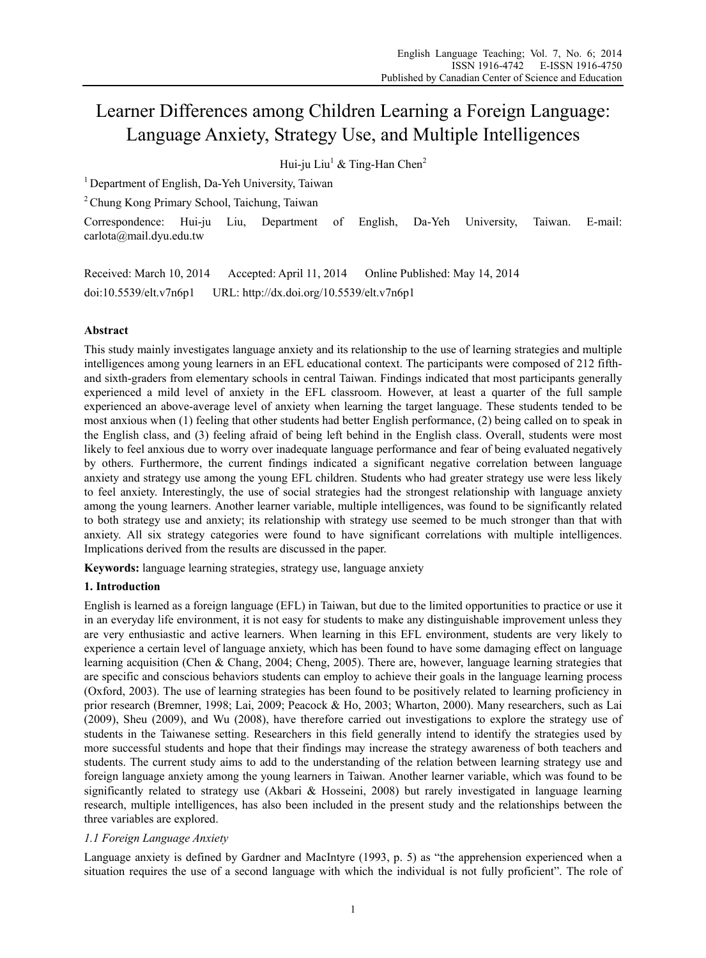# Learner Differences among Children Learning a Foreign Language: Language Anxiety, Strategy Use, and Multiple Intelligences

Hui-ju Liu<sup>1</sup> & Ting-Han Chen<sup>2</sup>

<sup>1</sup> Department of English, Da-Yeh University, Taiwan

2 Chung Kong Primary School, Taichung, Taiwan

Correspondence: Hui-ju Liu, Department of English, Da-Yeh University, Taiwan. E-mail: carlota@mail.dyu.edu.tw

Received: March 10, 2014 Accepted: April 11, 2014 Online Published: May 14, 2014 doi:10.5539/elt.v7n6p1 URL: http://dx.doi.org/10.5539/elt.v7n6p1

# **Abstract**

This study mainly investigates language anxiety and its relationship to the use of learning strategies and multiple intelligences among young learners in an EFL educational context. The participants were composed of 212 fifthand sixth-graders from elementary schools in central Taiwan. Findings indicated that most participants generally experienced a mild level of anxiety in the EFL classroom. However, at least a quarter of the full sample experienced an above-average level of anxiety when learning the target language. These students tended to be most anxious when (1) feeling that other students had better English performance, (2) being called on to speak in the English class, and (3) feeling afraid of being left behind in the English class. Overall, students were most likely to feel anxious due to worry over inadequate language performance and fear of being evaluated negatively by others. Furthermore, the current findings indicated a significant negative correlation between language anxiety and strategy use among the young EFL children. Students who had greater strategy use were less likely to feel anxiety. Interestingly, the use of social strategies had the strongest relationship with language anxiety among the young learners. Another learner variable, multiple intelligences, was found to be significantly related to both strategy use and anxiety; its relationship with strategy use seemed to be much stronger than that with anxiety. All six strategy categories were found to have significant correlations with multiple intelligences. Implications derived from the results are discussed in the paper.

**Keywords:** language learning strategies, strategy use, language anxiety

# **1. Introduction**

English is learned as a foreign language (EFL) in Taiwan, but due to the limited opportunities to practice or use it in an everyday life environment, it is not easy for students to make any distinguishable improvement unless they are very enthusiastic and active learners. When learning in this EFL environment, students are very likely to experience a certain level of language anxiety, which has been found to have some damaging effect on language learning acquisition (Chen & Chang, 2004; Cheng, 2005). There are, however, language learning strategies that are specific and conscious behaviors students can employ to achieve their goals in the language learning process (Oxford, 2003). The use of learning strategies has been found to be positively related to learning proficiency in prior research (Bremner, 1998; Lai, 2009; Peacock & Ho, 2003; Wharton, 2000). Many researchers, such as Lai (2009), Sheu (2009), and Wu (2008), have therefore carried out investigations to explore the strategy use of students in the Taiwanese setting. Researchers in this field generally intend to identify the strategies used by more successful students and hope that their findings may increase the strategy awareness of both teachers and students. The current study aims to add to the understanding of the relation between learning strategy use and foreign language anxiety among the young learners in Taiwan. Another learner variable, which was found to be significantly related to strategy use (Akbari & Hosseini, 2008) but rarely investigated in language learning research, multiple intelligences, has also been included in the present study and the relationships between the three variables are explored.

# *1.1 Foreign Language Anxiety*

Language anxiety is defined by Gardner and MacIntyre (1993, p. 5) as "the apprehension experienced when a situation requires the use of a second language with which the individual is not fully proficient". The role of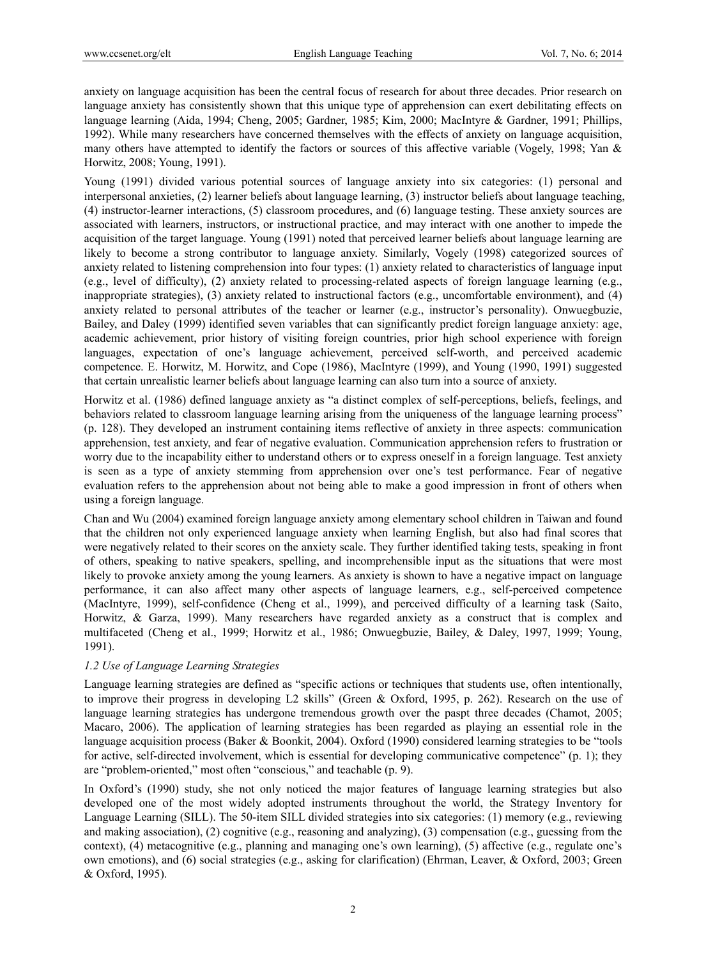anxiety on language acquisition has been the central focus of research for about three decades. Prior research on language anxiety has consistently shown that this unique type of apprehension can exert debilitating effects on language learning (Aida, 1994; Cheng, 2005; Gardner, 1985; Kim, 2000; MacIntyre & Gardner, 1991; Phillips, 1992). While many researchers have concerned themselves with the effects of anxiety on language acquisition, many others have attempted to identify the factors or sources of this affective variable (Vogely, 1998; Yan & Horwitz, 2008; Young, 1991).

Young (1991) divided various potential sources of language anxiety into six categories: (1) personal and interpersonal anxieties, (2) learner beliefs about language learning, (3) instructor beliefs about language teaching, (4) instructor-learner interactions, (5) classroom procedures, and (6) language testing. These anxiety sources are associated with learners, instructors, or instructional practice, and may interact with one another to impede the acquisition of the target language. Young (1991) noted that perceived learner beliefs about language learning are likely to become a strong contributor to language anxiety. Similarly, Vogely (1998) categorized sources of anxiety related to listening comprehension into four types: (1) anxiety related to characteristics of language input (e.g., level of difficulty), (2) anxiety related to processing-related aspects of foreign language learning (e.g., inappropriate strategies), (3) anxiety related to instructional factors (e.g., uncomfortable environment), and (4) anxiety related to personal attributes of the teacher or learner (e.g., instructor's personality). Onwuegbuzie, Bailey, and Daley (1999) identified seven variables that can significantly predict foreign language anxiety: age, academic achievement, prior history of visiting foreign countries, prior high school experience with foreign languages, expectation of one's language achievement, perceived self-worth, and perceived academic competence. E. Horwitz, M. Horwitz, and Cope (1986), MacIntyre (1999), and Young (1990, 1991) suggested that certain unrealistic learner beliefs about language learning can also turn into a source of anxiety.

Horwitz et al. (1986) defined language anxiety as "a distinct complex of self-perceptions, beliefs, feelings, and behaviors related to classroom language learning arising from the uniqueness of the language learning process" (p. 128). They developed an instrument containing items reflective of anxiety in three aspects: communication apprehension, test anxiety, and fear of negative evaluation. Communication apprehension refers to frustration or worry due to the incapability either to understand others or to express oneself in a foreign language. Test anxiety is seen as a type of anxiety stemming from apprehension over one's test performance. Fear of negative evaluation refers to the apprehension about not being able to make a good impression in front of others when using a foreign language.

Chan and Wu (2004) examined foreign language anxiety among elementary school children in Taiwan and found that the children not only experienced language anxiety when learning English, but also had final scores that were negatively related to their scores on the anxiety scale. They further identified taking tests, speaking in front of others, speaking to native speakers, spelling, and incomprehensible input as the situations that were most likely to provoke anxiety among the young learners. As anxiety is shown to have a negative impact on language performance, it can also affect many other aspects of language learners, e.g., self-perceived competence (MacIntyre, 1999), self-confidence (Cheng et al., 1999), and perceived difficulty of a learning task (Saito, Horwitz, & Garza, 1999). Many researchers have regarded anxiety as a construct that is complex and multifaceted (Cheng et al., 1999; Horwitz et al., 1986; Onwuegbuzie, Bailey, & Daley, 1997, 1999; Young, 1991).

# *1.2 Use of Language Learning Strategies*

Language learning strategies are defined as "specific actions or techniques that students use, often intentionally, to improve their progress in developing L2 skills" (Green & Oxford, 1995, p. 262). Research on the use of language learning strategies has undergone tremendous growth over the paspt three decades (Chamot, 2005; Macaro, 2006). The application of learning strategies has been regarded as playing an essential role in the language acquisition process (Baker & Boonkit, 2004). Oxford (1990) considered learning strategies to be "tools for active, self-directed involvement, which is essential for developing communicative competence" (p. 1); they are "problem-oriented," most often "conscious," and teachable (p. 9).

In Oxford's (1990) study, she not only noticed the major features of language learning strategies but also developed one of the most widely adopted instruments throughout the world, the Strategy Inventory for Language Learning (SILL). The 50-item SILL divided strategies into six categories: (1) memory (e.g., reviewing and making association), (2) cognitive (e.g., reasoning and analyzing), (3) compensation (e.g., guessing from the context), (4) metacognitive (e.g., planning and managing one's own learning), (5) affective (e.g., regulate one's own emotions), and (6) social strategies (e.g., asking for clarification) (Ehrman, Leaver, & Oxford, 2003; Green & Oxford, 1995).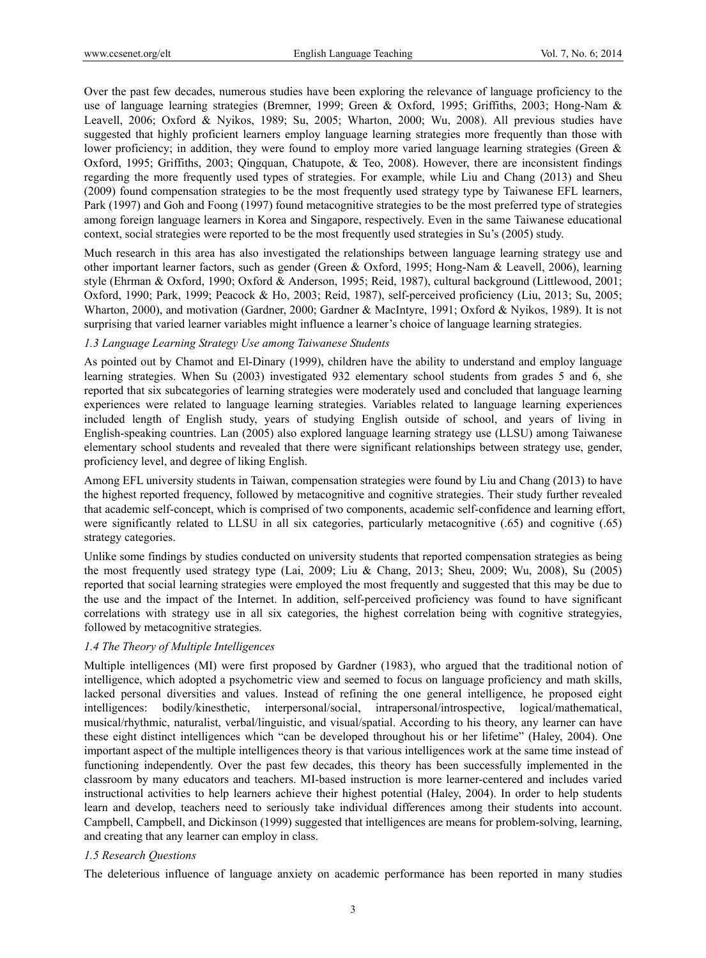Over the past few decades, numerous studies have been exploring the relevance of language proficiency to the use of language learning strategies (Bremner, 1999; Green & Oxford, 1995; Griffiths, 2003; Hong-Nam & Leavell, 2006; Oxford & Nyikos, 1989; Su, 2005; Wharton, 2000; Wu, 2008). All previous studies have suggested that highly proficient learners employ language learning strategies more frequently than those with lower proficiency; in addition, they were found to employ more varied language learning strategies (Green & Oxford, 1995; Griffiths, 2003; Qingquan, Chatupote, & Teo, 2008). However, there are inconsistent findings regarding the more frequently used types of strategies. For example, while Liu and Chang (2013) and Sheu (2009) found compensation strategies to be the most frequently used strategy type by Taiwanese EFL learners, Park (1997) and Goh and Foong (1997) found metacognitive strategies to be the most preferred type of strategies among foreign language learners in Korea and Singapore, respectively. Even in the same Taiwanese educational context, social strategies were reported to be the most frequently used strategies in Su's (2005) study.

Much research in this area has also investigated the relationships between language learning strategy use and other important learner factors, such as gender (Green & Oxford, 1995; Hong-Nam & Leavell, 2006), learning style (Ehrman & Oxford, 1990; Oxford & Anderson, 1995; Reid, 1987), cultural background (Littlewood, 2001; Oxford, 1990; Park, 1999; Peacock & Ho, 2003; Reid, 1987), self-perceived proficiency (Liu, 2013; Su, 2005; Wharton, 2000), and motivation (Gardner, 2000; Gardner & MacIntyre, 1991; Oxford & Nyikos, 1989). It is not surprising that varied learner variables might influence a learner's choice of language learning strategies.

# *1.3 Language Learning Strategy Use among Taiwanese Students*

As pointed out by Chamot and El-Dinary (1999), children have the ability to understand and employ language learning strategies. When Su (2003) investigated 932 elementary school students from grades 5 and 6, she reported that six subcategories of learning strategies were moderately used and concluded that language learning experiences were related to language learning strategies. Variables related to language learning experiences included length of English study, years of studying English outside of school, and years of living in English-speaking countries. Lan (2005) also explored language learning strategy use (LLSU) among Taiwanese elementary school students and revealed that there were significant relationships between strategy use, gender, proficiency level, and degree of liking English.

Among EFL university students in Taiwan, compensation strategies were found by Liu and Chang (2013) to have the highest reported frequency, followed by metacognitive and cognitive strategies. Their study further revealed that academic self-concept, which is comprised of two components, academic self-confidence and learning effort, were significantly related to LLSU in all six categories, particularly metacognitive (.65) and cognitive (.65) strategy categories.

Unlike some findings by studies conducted on university students that reported compensation strategies as being the most frequently used strategy type (Lai, 2009; Liu & Chang, 2013; Sheu, 2009; Wu, 2008), Su (2005) reported that social learning strategies were employed the most frequently and suggested that this may be due to the use and the impact of the Internet. In addition, self-perceived proficiency was found to have significant correlations with strategy use in all six categories, the highest correlation being with cognitive strategyies, followed by metacognitive strategies.

# *1.4 The Theory of Multiple Intelligences*

Multiple intelligences (MI) were first proposed by Gardner (1983), who argued that the traditional notion of intelligence, which adopted a psychometric view and seemed to focus on language proficiency and math skills, lacked personal diversities and values. Instead of refining the one general intelligence, he proposed eight intelligences: bodily/kinesthetic, interpersonal/social, intrapersonal/introspective, logical/mathematical, musical/rhythmic, naturalist, verbal/linguistic, and visual/spatial. According to his theory, any learner can have these eight distinct intelligences which "can be developed throughout his or her lifetime" (Haley, 2004). One important aspect of the multiple intelligences theory is that various intelligences work at the same time instead of functioning independently. Over the past few decades, this theory has been successfully implemented in the classroom by many educators and teachers. MI-based instruction is more learner-centered and includes varied instructional activities to help learners achieve their highest potential (Haley, 2004). In order to help students learn and develop, teachers need to seriously take individual differences among their students into account. Campbell, Campbell, and Dickinson (1999) suggested that intelligences are means for problem-solving, learning, and creating that any learner can employ in class.

# *1.5 Research Questions*

The deleterious influence of language anxiety on academic performance has been reported in many studies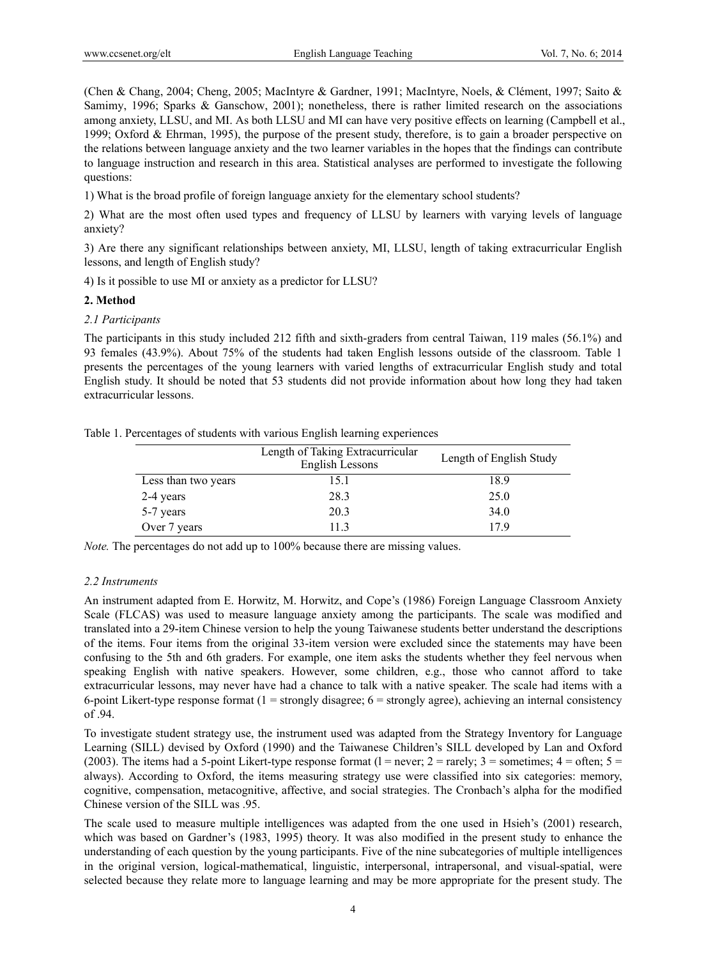(Chen & Chang, 2004; Cheng, 2005; MacIntyre & Gardner, 1991; MacIntyre, Noels, & Clément, 1997; Saito & Samimy, 1996; Sparks & Ganschow, 2001); nonetheless, there is rather limited research on the associations among anxiety, LLSU, and MI. As both LLSU and MI can have very positive effects on learning (Campbell et al., 1999; Oxford & Ehrman, 1995), the purpose of the present study, therefore, is to gain a broader perspective on the relations between language anxiety and the two learner variables in the hopes that the findings can contribute to language instruction and research in this area. Statistical analyses are performed to investigate the following questions:

1) What is the broad profile of foreign language anxiety for the elementary school students?

2) What are the most often used types and frequency of LLSU by learners with varying levels of language anxiety?

3) Are there any significant relationships between anxiety, MI, LLSU, length of taking extracurricular English lessons, and length of English study?

4) Is it possible to use MI or anxiety as a predictor for LLSU?

#### **2. Method**

#### *2.1 Participants*

The participants in this study included 212 fifth and sixth-graders from central Taiwan, 119 males (56.1%) and 93 females (43.9%). About 75% of the students had taken English lessons outside of the classroom. Table 1 presents the percentages of the young learners with varied lengths of extracurricular English study and total English study. It should be noted that 53 students did not provide information about how long they had taken extracurricular lessons.

|  |  |  |  |  |  |  |  | Table 1. Percentages of students with various English learning experiences |  |
|--|--|--|--|--|--|--|--|----------------------------------------------------------------------------|--|
|--|--|--|--|--|--|--|--|----------------------------------------------------------------------------|--|

|                     | Length of Taking Extracurricular<br>English Lessons | Length of English Study |
|---------------------|-----------------------------------------------------|-------------------------|
| Less than two years | 15.1                                                | 18.9                    |
| 2-4 years           | 28.3                                                | 25.0                    |
| 5-7 years           | 20.3                                                | 34.0                    |
| Over 7 years        | 113                                                 | 179                     |

*Note.* The percentages do not add up to 100% because there are missing values.

#### *2.2 Instruments*

An instrument adapted from E. Horwitz, M. Horwitz, and Cope's (1986) Foreign Language Classroom Anxiety Scale (FLCAS) was used to measure language anxiety among the participants. The scale was modified and translated into a 29-item Chinese version to help the young Taiwanese students better understand the descriptions of the items. Four items from the original 33-item version were excluded since the statements may have been confusing to the 5th and 6th graders. For example, one item asks the students whether they feel nervous when speaking English with native speakers. However, some children, e.g., those who cannot afford to take extracurricular lessons, may never have had a chance to talk with a native speaker. The scale had items with a 6-point Likert-type response format  $(1 = \text{strongly disagree}; 6 = \text{strongly agree})$ , achieving an internal consistency of .94.

To investigate student strategy use, the instrument used was adapted from the Strategy Inventory for Language Learning (SILL) devised by Oxford (1990) and the Taiwanese Children's SILL developed by Lan and Oxford (2003). The items had a 5-point Likert-type response format ( $l = never$ ;  $2 = rarely$ ;  $3 = sometimes$ ;  $4 = often$ ;  $5 =$ always). According to Oxford, the items measuring strategy use were classified into six categories: memory, cognitive, compensation, metacognitive, affective, and social strategies. The Cronbach's alpha for the modified Chinese version of the SILL was .95.

The scale used to measure multiple intelligences was adapted from the one used in Hsieh's (2001) research, which was based on Gardner's (1983, 1995) theory. It was also modified in the present study to enhance the understanding of each question by the young participants. Five of the nine subcategories of multiple intelligences in the original version, logical-mathematical, linguistic, interpersonal, intrapersonal, and visual-spatial, were selected because they relate more to language learning and may be more appropriate for the present study. The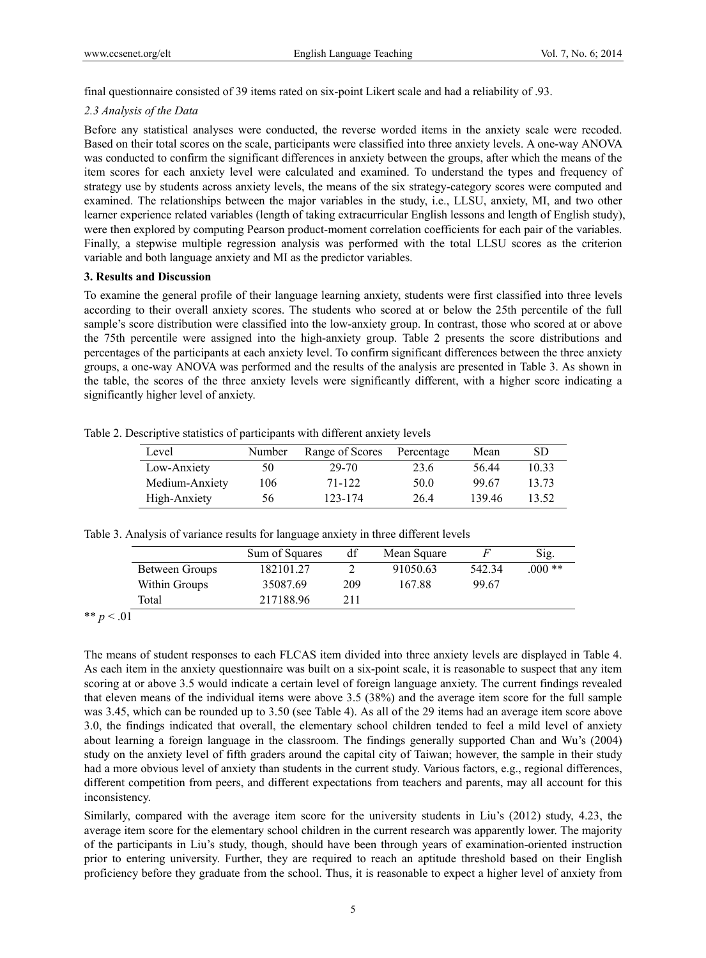final questionnaire consisted of 39 items rated on six-point Likert scale and had a reliability of .93.

## *2.3 Analysis of the Data*

Before any statistical analyses were conducted, the reverse worded items in the anxiety scale were recoded. Based on their total scores on the scale, participants were classified into three anxiety levels. A one-way ANOVA was conducted to confirm the significant differences in anxiety between the groups, after which the means of the item scores for each anxiety level were calculated and examined. To understand the types and frequency of strategy use by students across anxiety levels, the means of the six strategy-category scores were computed and examined. The relationships between the major variables in the study, i.e., LLSU, anxiety, MI, and two other learner experience related variables (length of taking extracurricular English lessons and length of English study), were then explored by computing Pearson product-moment correlation coefficients for each pair of the variables. Finally, a stepwise multiple regression analysis was performed with the total LLSU scores as the criterion variable and both language anxiety and MI as the predictor variables.

#### **3. Results and Discussion**

To examine the general profile of their language learning anxiety, students were first classified into three levels according to their overall anxiety scores. The students who scored at or below the 25th percentile of the full sample's score distribution were classified into the low-anxiety group. In contrast, those who scored at or above the 75th percentile were assigned into the high-anxiety group. Table 2 presents the score distributions and percentages of the participants at each anxiety level. To confirm significant differences between the three anxiety groups, a one-way ANOVA was performed and the results of the analysis are presented in Table 3. As shown in the table, the scores of the three anxiety levels were significantly different, with a higher score indicating a significantly higher level of anxiety.

| Table 2. Descriptive statistics of participants with different anxiety levels |  |  |  |  |  |
|-------------------------------------------------------------------------------|--|--|--|--|--|
|-------------------------------------------------------------------------------|--|--|--|--|--|

| Level          | Number | Range of Scores | Percentage | Mean   | <b>SD</b> |
|----------------|--------|-----------------|------------|--------|-----------|
| Low-Anxiety    | 50     | 29-70           | 23.6       | 56.44  | 10.33     |
| Medium-Anxiety | 106    | 71-122          | 50.0       | 99.67  | 13.73     |
| High-Anxiety   | 56     | 123-174         | 264        | 139.46 | 13.52     |

Table 3. Analysis of variance results for language anxiety in three different levels

|                | Sum of Squares | df  | Mean Square |        | Sig.    |  |
|----------------|----------------|-----|-------------|--------|---------|--|
| Between Groups | 182101.27      |     | 91050.63    | 542.34 | $000**$ |  |
| Within Groups  | 35087.69       | 209 | 167.88      | 99.67  |         |  |
| Total          | 217188.96      | 211 |             |        |         |  |
|                |                |     |             |        |         |  |

\*\*  $p < .01$ 

The means of student responses to each FLCAS item divided into three anxiety levels are displayed in Table 4. As each item in the anxiety questionnaire was built on a six-point scale, it is reasonable to suspect that any item scoring at or above 3.5 would indicate a certain level of foreign language anxiety. The current findings revealed that eleven means of the individual items were above 3.5 (38%) and the average item score for the full sample was 3.45, which can be rounded up to 3.50 (see Table 4). As all of the 29 items had an average item score above 3.0, the findings indicated that overall, the elementary school children tended to feel a mild level of anxiety about learning a foreign language in the classroom. The findings generally supported Chan and Wu's (2004) study on the anxiety level of fifth graders around the capital city of Taiwan; however, the sample in their study had a more obvious level of anxiety than students in the current study. Various factors, e.g., regional differences, different competition from peers, and different expectations from teachers and parents, may all account for this inconsistency.

Similarly, compared with the average item score for the university students in Liu's (2012) study, 4.23, the average item score for the elementary school children in the current research was apparently lower. The majority of the participants in Liu's study, though, should have been through years of examination-oriented instruction prior to entering university. Further, they are required to reach an aptitude threshold based on their English proficiency before they graduate from the school. Thus, it is reasonable to expect a higher level of anxiety from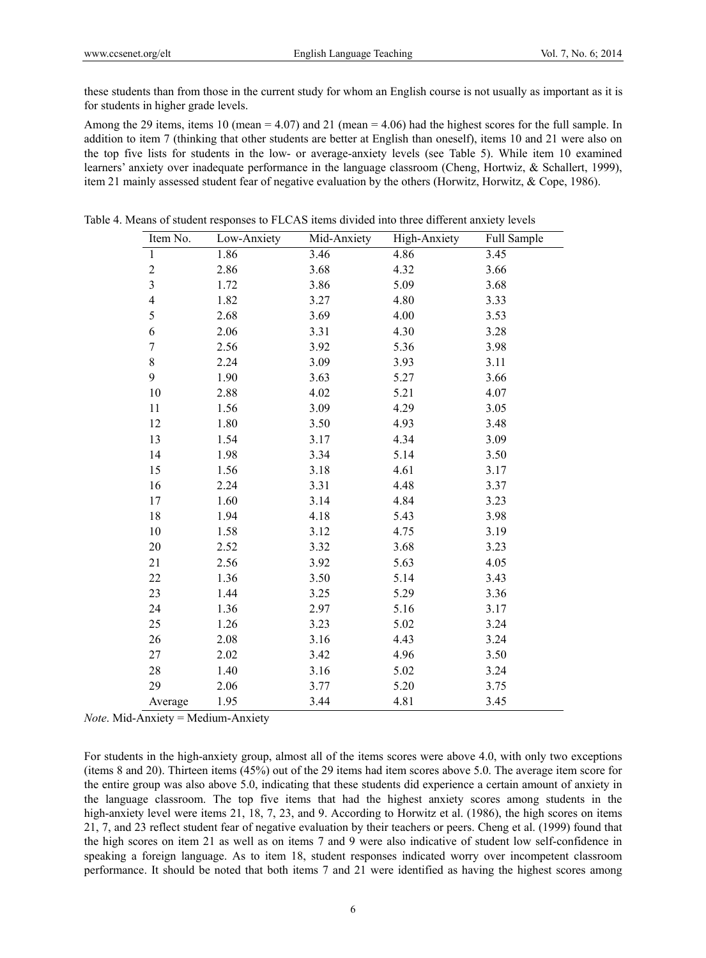these students than from those in the current study for whom an English course is not usually as important as it is for students in higher grade levels.

Among the 29 items, items 10 (mean = 4.07) and 21 (mean = 4.06) had the highest scores for the full sample. In addition to item 7 (thinking that other students are better at English than oneself), items 10 and 21 were also on the top five lists for students in the low- or average-anxiety levels (see Table 5). While item 10 examined learners' anxiety over inadequate performance in the language classroom (Cheng, Hortwiz, & Schallert, 1999), item 21 mainly assessed student fear of negative evaluation by the others (Horwitz, Horwitz, & Cope, 1986).

| Item No.       | Low-Anxiety | Mid-Anxiety | High-Anxiety | Full Sample |
|----------------|-------------|-------------|--------------|-------------|
| $\mathbf{1}$   | 1.86        | 3.46        | 4.86         | 3.45        |
| $\overline{c}$ | 2.86        | 3.68        | 4.32         | 3.66        |
| 3              | 1.72        | 3.86        | 5.09         | 3.68        |
| $\overline{4}$ | 1.82        | 3.27        | 4.80         | 3.33        |
| 5              | 2.68        | 3.69        | 4.00         | 3.53        |
| 6              | 2.06        | 3.31        | 4.30         | 3.28        |
| $\overline{7}$ | 2.56        | 3.92        | 5.36         | 3.98        |
| 8              | 2.24        | 3.09        | 3.93         | 3.11        |
| 9              | 1.90        | 3.63        | 5.27         | 3.66        |
| 10             | 2.88        | 4.02        | 5.21         | 4.07        |
| 11             | 1.56        | 3.09        | 4.29         | 3.05        |
| 12             | 1.80        | 3.50        | 4.93         | 3.48        |
| 13             | 1.54        | 3.17        | 4.34         | 3.09        |
| 14             | 1.98        | 3.34        | 5.14         | 3.50        |
| 15             | 1.56        | 3.18        | 4.61         | 3.17        |
| 16             | 2.24        | 3.31        | 4.48         | 3.37        |
| 17             | 1.60        | 3.14        | 4.84         | 3.23        |
| 18             | 1.94        | 4.18        | 5.43         | 3.98        |
| 10             | 1.58        | 3.12        | 4.75         | 3.19        |
| 20             | 2.52        | 3.32        | 3.68         | 3.23        |
| 21             | 2.56        | 3.92        | 5.63         | 4.05        |
| 22             | 1.36        | 3.50        | 5.14         | 3.43        |
| 23             | 1.44        | 3.25        | 5.29         | 3.36        |
| 24             | 1.36        | 2.97        | 5.16         | 3.17        |
| 25             | 1.26        | 3.23        | 5.02         | 3.24        |
| 26             | 2.08        | 3.16        | 4.43         | 3.24        |
| 27             | 2.02        | 3.42        | 4.96         | 3.50        |
| 28             | 1.40        | 3.16        | 5.02         | 3.24        |
| 29             | 2.06        | 3.77        | 5.20         | 3.75        |
| Average        | 1.95        | 3.44        | 4.81         | 3.45        |

Table 4. Means of student responses to FLCAS items divided into three different anxiety levels

*Note*. Mid-Anxiety = Medium-Anxiety

For students in the high-anxiety group, almost all of the items scores were above 4.0, with only two exceptions (items 8 and 20). Thirteen items (45%) out of the 29 items had item scores above 5.0. The average item score for the entire group was also above 5.0, indicating that these students did experience a certain amount of anxiety in the language classroom. The top five items that had the highest anxiety scores among students in the high-anxiety level were items 21, 18, 7, 23, and 9. According to Horwitz et al. (1986), the high scores on items 21, 7, and 23 reflect student fear of negative evaluation by their teachers or peers. Cheng et al. (1999) found that the high scores on item 21 as well as on items 7 and 9 were also indicative of student low self-confidence in speaking a foreign language. As to item 18, student responses indicated worry over incompetent classroom performance. It should be noted that both items 7 and 21 were identified as having the highest scores among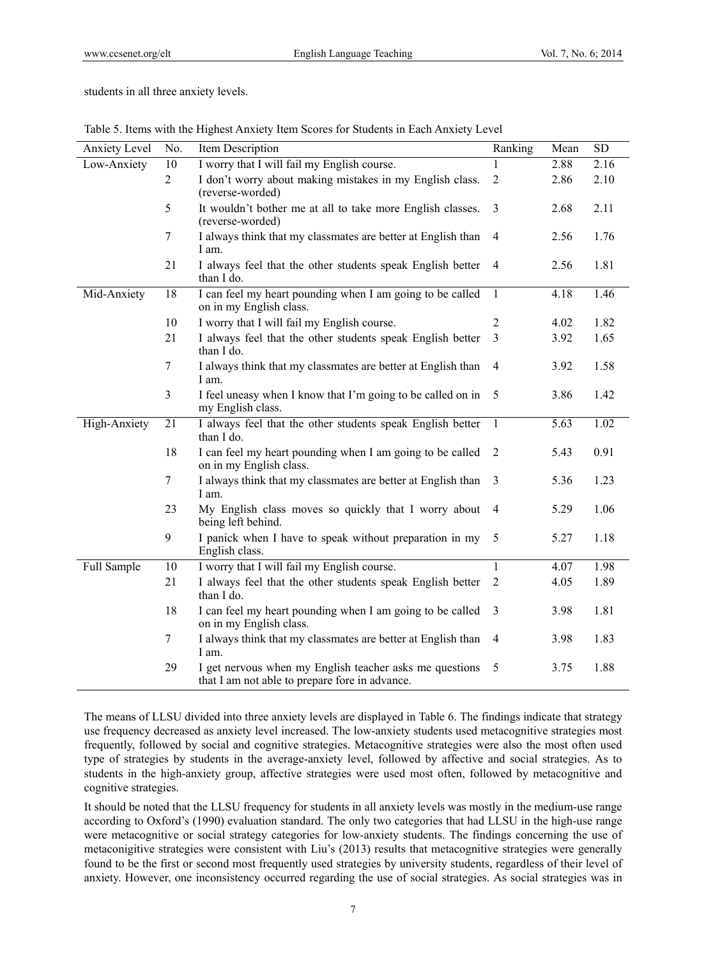students in all three anxiety levels.

| Anxiety Level | No.            | Item Description                                                                                          | Ranking        | Mean | SD.  |
|---------------|----------------|-----------------------------------------------------------------------------------------------------------|----------------|------|------|
| Low-Anxiety   | 10             | I worry that I will fail my English course.                                                               |                | 2.88 | 2.16 |
|               | $\overline{2}$ | I don't worry about making mistakes in my English class.<br>(reverse-worded)                              | $\overline{2}$ | 2.86 | 2.10 |
|               | 5              | It wouldn't bother me at all to take more English classes.<br>(reverse-worded)                            | 3              | 2.68 | 2.11 |
|               | 7              | I always think that my classmates are better at English than<br>I am.                                     | 4              | 2.56 | 1.76 |
|               | 21             | I always feel that the other students speak English better<br>than I do.                                  | $\overline{4}$ | 2.56 | 1.81 |
| Mid-Anxiety   | 18             | I can feel my heart pounding when I am going to be called<br>on in my English class.                      | $\mathbf{1}$   | 4.18 | 1.46 |
|               | 10             | I worry that I will fail my English course.                                                               | $\overline{2}$ | 4.02 | 1.82 |
|               | 21             | I always feel that the other students speak English better<br>than I do.                                  | 3              | 3.92 | 1.65 |
|               | 7              | I always think that my classmates are better at English than<br>I am.                                     | $\overline{4}$ | 3.92 | 1.58 |
|               | 3              | I feel uneasy when I know that I'm going to be called on in<br>my English class.                          | 5              | 3.86 | 1.42 |
| High-Anxiety  | 21             | I always feel that the other students speak English better<br>than I do.                                  | $\mathbf{1}$   | 5.63 | 1.02 |
|               | 18             | I can feel my heart pounding when I am going to be called<br>on in my English class.                      | 2              | 5.43 | 0.91 |
|               | 7              | I always think that my classmates are better at English than<br>I am.                                     | 3              | 5.36 | 1.23 |
|               | 23             | My English class moves so quickly that I worry about<br>being left behind.                                | $\overline{4}$ | 5.29 | 1.06 |
|               | 9              | I panick when I have to speak without preparation in my<br>English class.                                 | 5              | 5.27 | 1.18 |
| Full Sample   | $10\,$         | I worry that I will fail my English course.                                                               | $\mathbf{1}$   | 4.07 | 1.98 |
|               | 21             | I always feel that the other students speak English better<br>than I do.                                  | $\overline{2}$ | 4.05 | 1.89 |
|               | 18             | I can feel my heart pounding when I am going to be called<br>on in my English class.                      | 3              | 3.98 | 1.81 |
|               | 7              | I always think that my classmates are better at English than<br>I am.                                     | $\overline{4}$ | 3.98 | 1.83 |
|               | 29             | I get nervous when my English teacher asks me questions<br>that I am not able to prepare fore in advance. | 5              | 3.75 | 1.88 |

Table 5. Items with the Highest Anxiety Item Scores for Students in Each Anxiety Level

The means of LLSU divided into three anxiety levels are displayed in Table 6. The findings indicate that strategy use frequency decreased as anxiety level increased. The low-anxiety students used metacognitive strategies most frequently, followed by social and cognitive strategies. Metacognitive strategies were also the most often used type of strategies by students in the average-anxiety level, followed by affective and social strategies. As to students in the high-anxiety group, affective strategies were used most often, followed by metacognitive and cognitive strategies.

It should be noted that the LLSU frequency for students in all anxiety levels was mostly in the medium-use range according to Oxford's (1990) evaluation standard. The only two categories that had LLSU in the high-use range were metacognitive or social strategy categories for low-anxiety students. The findings concerning the use of metaconigitive strategies were consistent with Liu's (2013) results that metacognitive strategies were generally found to be the first or second most frequently used strategies by university students, regardless of their level of anxiety. However, one inconsistency occurred regarding the use of social strategies. As social strategies was in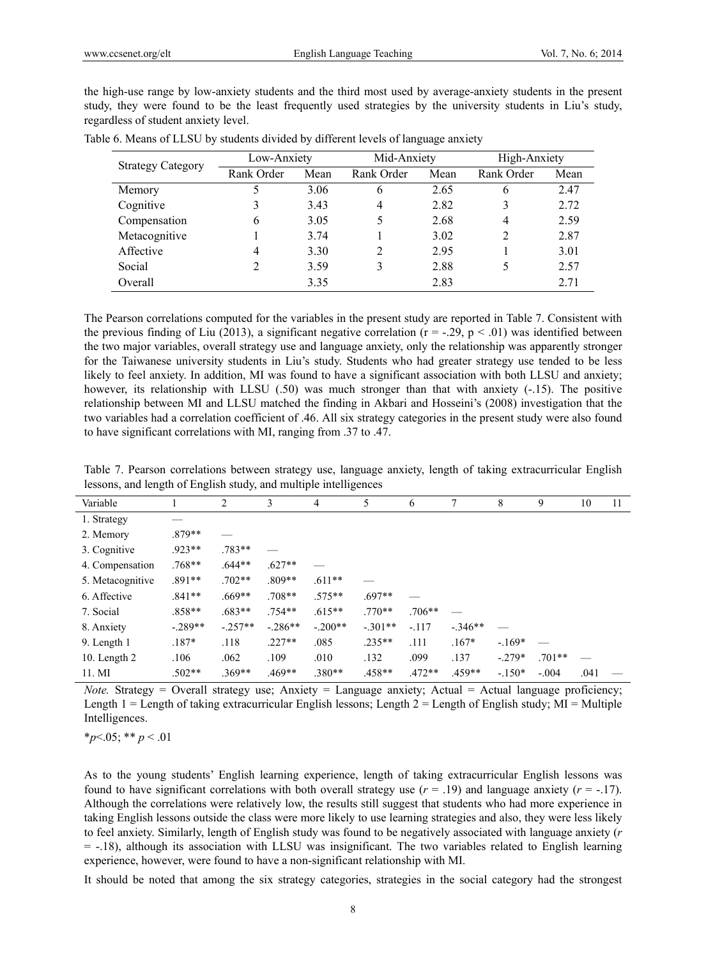the high-use range by low-anxiety students and the third most used by average-anxiety students in the present study, they were found to be the least frequently used strategies by the university students in Liu's study, regardless of student anxiety level.

| <b>Strategy Category</b> | Low-Anxiety |      | Mid-Anxiety |      | High-Anxiety |      |  |
|--------------------------|-------------|------|-------------|------|--------------|------|--|
|                          | Rank Order  | Mean | Rank Order  | Mean | Rank Order   | Mean |  |
| Memory                   |             | 3.06 | 6           | 2.65 | 6            | 2.47 |  |
| Cognitive                |             | 3.43 | 4           | 2.82 |              | 2.72 |  |
| Compensation             | 6           | 3.05 | 5           | 2.68 | 4            | 2.59 |  |
| Metacognitive            |             | 3.74 |             | 3.02 | 2            | 2.87 |  |
| Affective                | 4           | 3.30 | 2           | 2.95 |              | 3.01 |  |
| Social                   | 2           | 3.59 | 3           | 2.88 |              | 2.57 |  |
| Overall                  |             | 3.35 |             | 2.83 |              | 2.71 |  |

Table 6. Means of LLSU by students divided by different levels of language anxiety

The Pearson correlations computed for the variables in the present study are reported in Table 7. Consistent with the previous finding of Liu (2013), a significant negative correlation ( $r = -0.29$ , p < .01) was identified between the two major variables, overall strategy use and language anxiety, only the relationship was apparently stronger for the Taiwanese university students in Liu's study. Students who had greater strategy use tended to be less likely to feel anxiety. In addition, MI was found to have a significant association with both LLSU and anxiety; however, its relationship with LLSU (.50) was much stronger than that with anxiety (-.15). The positive relationship between MI and LLSU matched the finding in Akbari and Hosseini's (2008) investigation that the two variables had a correlation coefficient of .46. All six strategy categories in the present study were also found to have significant correlations with MI, ranging from .37 to .47.

| Table 7. Pearson correlations between strategy use, language anxiety, length of taking extracurricular English |  |  |  |  |  |  |  |  |  |  |
|----------------------------------------------------------------------------------------------------------------|--|--|--|--|--|--|--|--|--|--|
| lessons, and length of English study, and multiple intelligences                                               |  |  |  |  |  |  |  |  |  |  |

| Variable         |           | 2         | 3         | 4         | 5         | 6        | 7         | 8        | 9        | 10   | 11 |
|------------------|-----------|-----------|-----------|-----------|-----------|----------|-----------|----------|----------|------|----|
| 1. Strategy      |           |           |           |           |           |          |           |          |          |      |    |
| 2. Memory        | $.879**$  |           |           |           |           |          |           |          |          |      |    |
| 3. Cognitive     | .923**    | $.783**$  |           |           |           |          |           |          |          |      |    |
| 4. Compensation  | .768**    | $.644**$  | $.627**$  |           |           |          |           |          |          |      |    |
| 5. Metacognitive | $.891**$  | $.702**$  | $.809**$  | $.611**$  |           |          |           |          |          |      |    |
| 6. Affective     | $.841**$  | $.669**$  | $.708**$  | $.575**$  | $.697**$  |          |           |          |          |      |    |
| 7. Social        | .858**    | $.683**$  | $.754**$  | $.615**$  | $.770**$  | $.706**$ |           |          |          |      |    |
| 8. Anxiety       | $-.289**$ | $-.257**$ | $-.286**$ | $-.200**$ | $-.301**$ | $-.117$  | $-.346**$ |          |          |      |    |
| 9. Length 1      | $.187*$   | .118      | $.227**$  | .085      | $.235**$  | .111     | $.167*$   | $-169*$  |          |      |    |
| 10. Length 2     | .106      | .062      | .109      | .010      | .132      | .099     | .137      | $-.279*$ | $.701**$ |      |    |
| 11. MI           | $.502**$  | $.369**$  | $.469**$  | $.380**$  | $.458**$  | $.472**$ | $.459**$  | $-.150*$ | $-.004$  | .041 |    |

*Note.* Strategy = Overall strategy use; Anxiety = Language anxiety; Actual = Actual language proficiency; Length 1 = Length of taking extracurricular English lessons; Length 2 = Length of English study; MI = Multiple Intelligences.

\**p*<.05; \*\* *p* < .01

As to the young students' English learning experience, length of taking extracurricular English lessons was found to have significant correlations with both overall strategy use  $(r = .19)$  and language anxiety  $(r = .17)$ . Although the correlations were relatively low, the results still suggest that students who had more experience in taking English lessons outside the class were more likely to use learning strategies and also, they were less likely to feel anxiety. Similarly, length of English study was found to be negatively associated with language anxiety (*r* = -.18), although its association with LLSU was insignificant. The two variables related to English learning experience, however, were found to have a non-significant relationship with MI.

It should be noted that among the six strategy categories, strategies in the social category had the strongest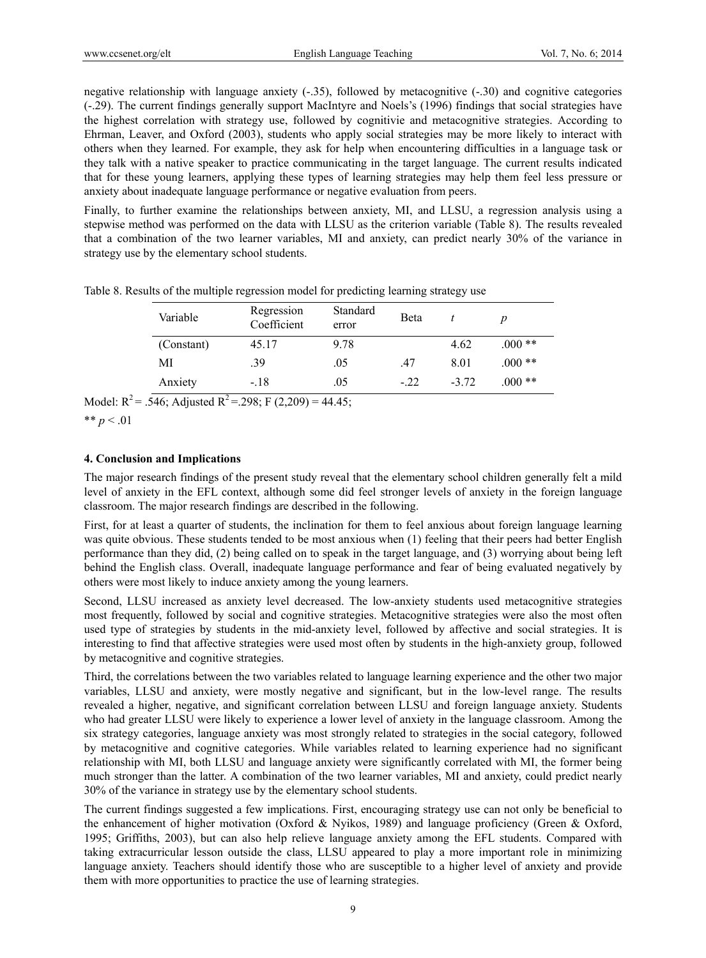negative relationship with language anxiety (-.35), followed by metacognitive (-.30) and cognitive categories (-.29). The current findings generally support MacIntyre and Noels's (1996) findings that social strategies have the highest correlation with strategy use, followed by cognitivie and metacognitive strategies. According to Ehrman, Leaver, and Oxford (2003), students who apply social strategies may be more likely to interact with others when they learned. For example, they ask for help when encountering difficulties in a language task or they talk with a native speaker to practice communicating in the target language. The current results indicated that for these young learners, applying these types of learning strategies may help them feel less pressure or anxiety about inadequate language performance or negative evaluation from peers.

Finally, to further examine the relationships between anxiety, MI, and LLSU, a regression analysis using a stepwise method was performed on the data with LLSU as the criterion variable (Table 8). The results revealed that a combination of the two learner variables, MI and anxiety, can predict nearly 30% of the variance in strategy use by the elementary school students.

| Variable   | Regression<br>Coefficient | Standard<br>error | <b>B</b> eta |        |         |  |
|------------|---------------------------|-------------------|--------------|--------|---------|--|
| (Constant) | 45.17                     | 9.78              |              | 4.62   | $000**$ |  |
| MI         | .39                       | .05               | .47          | 8.01   | $000**$ |  |
| Anxiety    | $-.18$                    | .05               | $-22$        | $-372$ | $000**$ |  |

Table 8. Results of the multiple regression model for predicting learning strategy use

Model:  $R^2 = .546$ ; Adjusted  $R^2 = .298$ ; F (2,209) = 44.45;

# \*\*  $p < .01$

#### **4. Conclusion and Implications**

The major research findings of the present study reveal that the elementary school children generally felt a mild level of anxiety in the EFL context, although some did feel stronger levels of anxiety in the foreign language classroom. The major research findings are described in the following.

First, for at least a quarter of students, the inclination for them to feel anxious about foreign language learning was quite obvious. These students tended to be most anxious when (1) feeling that their peers had better English performance than they did, (2) being called on to speak in the target language, and (3) worrying about being left behind the English class. Overall, inadequate language performance and fear of being evaluated negatively by others were most likely to induce anxiety among the young learners.

Second, LLSU increased as anxiety level decreased. The low-anxiety students used metacognitive strategies most frequently, followed by social and cognitive strategies. Metacognitive strategies were also the most often used type of strategies by students in the mid-anxiety level, followed by affective and social strategies. It is interesting to find that affective strategies were used most often by students in the high-anxiety group, followed by metacognitive and cognitive strategies.

Third, the correlations between the two variables related to language learning experience and the other two major variables, LLSU and anxiety, were mostly negative and significant, but in the low-level range. The results revealed a higher, negative, and significant correlation between LLSU and foreign language anxiety. Students who had greater LLSU were likely to experience a lower level of anxiety in the language classroom. Among the six strategy categories, language anxiety was most strongly related to strategies in the social category, followed by metacognitive and cognitive categories. While variables related to learning experience had no significant relationship with MI, both LLSU and language anxiety were significantly correlated with MI, the former being much stronger than the latter. A combination of the two learner variables, MI and anxiety, could predict nearly 30% of the variance in strategy use by the elementary school students.

The current findings suggested a few implications. First, encouraging strategy use can not only be beneficial to the enhancement of higher motivation (Oxford & Nyikos, 1989) and language proficiency (Green & Oxford, 1995; Griffiths, 2003), but can also help relieve language anxiety among the EFL students. Compared with taking extracurricular lesson outside the class, LLSU appeared to play a more important role in minimizing language anxiety. Teachers should identify those who are susceptible to a higher level of anxiety and provide them with more opportunities to practice the use of learning strategies.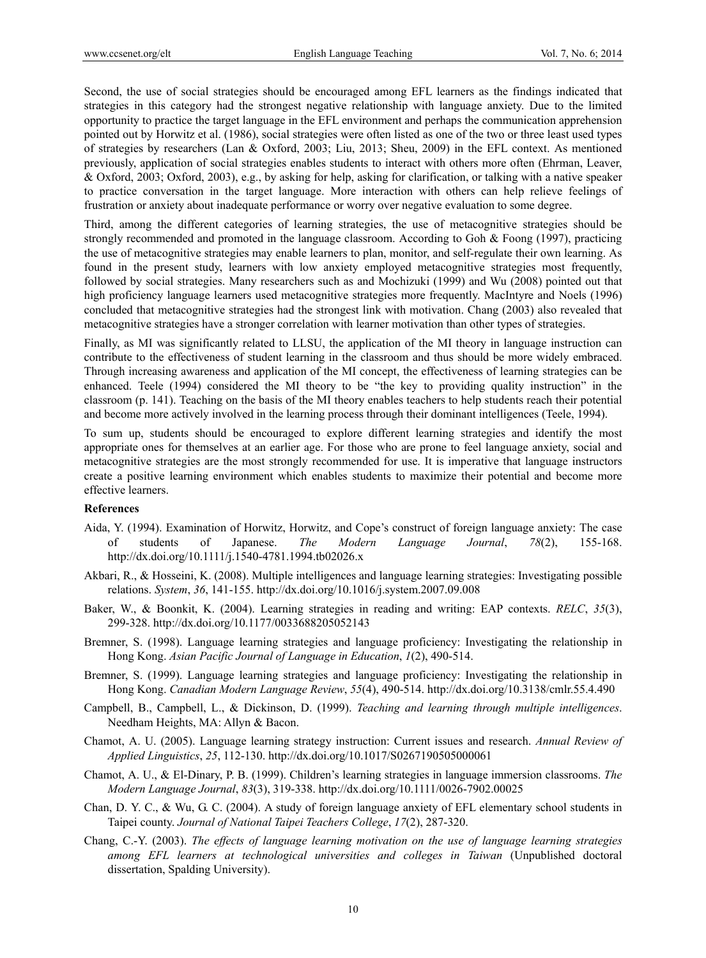Second, the use of social strategies should be encouraged among EFL learners as the findings indicated that strategies in this category had the strongest negative relationship with language anxiety. Due to the limited opportunity to practice the target language in the EFL environment and perhaps the communication apprehension pointed out by Horwitz et al. (1986), social strategies were often listed as one of the two or three least used types of strategies by researchers (Lan & Oxford, 2003; Liu, 2013; Sheu, 2009) in the EFL context. As mentioned previously, application of social strategies enables students to interact with others more often (Ehrman, Leaver, & Oxford, 2003; Oxford, 2003), e.g., by asking for help, asking for clarification, or talking with a native speaker to practice conversation in the target language. More interaction with others can help relieve feelings of frustration or anxiety about inadequate performance or worry over negative evaluation to some degree.

Third, among the different categories of learning strategies, the use of metacognitive strategies should be strongly recommended and promoted in the language classroom. According to Goh & Foong (1997), practicing the use of metacognitive strategies may enable learners to plan, monitor, and self-regulate their own learning. As found in the present study, learners with low anxiety employed metacognitive strategies most frequently, followed by social strategies. Many researchers such as and Mochizuki (1999) and Wu (2008) pointed out that high proficiency language learners used metacognitive strategies more frequently. MacIntyre and Noels (1996) concluded that metacognitive strategies had the strongest link with motivation. Chang (2003) also revealed that metacognitive strategies have a stronger correlation with learner motivation than other types of strategies.

Finally, as MI was significantly related to LLSU, the application of the MI theory in language instruction can contribute to the effectiveness of student learning in the classroom and thus should be more widely embraced. Through increasing awareness and application of the MI concept, the effectiveness of learning strategies can be enhanced. Teele (1994) considered the MI theory to be "the key to providing quality instruction" in the classroom (p. 141). Teaching on the basis of the MI theory enables teachers to help students reach their potential and become more actively involved in the learning process through their dominant intelligences (Teele, 1994).

To sum up, students should be encouraged to explore different learning strategies and identify the most appropriate ones for themselves at an earlier age. For those who are prone to feel language anxiety, social and metacognitive strategies are the most strongly recommended for use. It is imperative that language instructors create a positive learning environment which enables students to maximize their potential and become more effective learners.

#### **References**

- Aida, Y. (1994). Examination of Horwitz, Horwitz, and Cope's construct of foreign language anxiety: The case of students of Japanese. *The Modern Language Journal*, *78*(2), 155-168. http://dx.doi.org/10.1111/j.1540-4781.1994.tb02026.x
- Akbari, R., & Hosseini, K. (2008). Multiple intelligences and language learning strategies: Investigating possible relations. *System*, *36*, 141-155. http://dx.doi.org/10.1016/j.system.2007.09.008
- Baker, W., & Boonkit, K. (2004). Learning strategies in reading and writing: EAP contexts. *RELC*, *35*(3), 299-328. http://dx.doi.org/10.1177/0033688205052143
- Bremner, S. (1998). Language learning strategies and language proficiency: Investigating the relationship in Hong Kong. *Asian Pacific Journal of Language in Education*, *1*(2), 490-514.
- Bremner, S. (1999). Language learning strategies and language proficiency: Investigating the relationship in Hong Kong. *Canadian Modern Language Review*, *55*(4), 490-514. http://dx.doi.org/10.3138/cmlr.55.4.490
- Campbell, B., Campbell, L., & Dickinson, D. (1999). *Teaching and learning through multiple intelligences*. Needham Heights, MA: Allyn & Bacon.
- Chamot, A. U. (2005). Language learning strategy instruction: Current issues and research. *Annual Review of Applied Linguistics*, *25*, 112-130. http://dx.doi.org/10.1017/S0267190505000061
- Chamot, A. U., & El-Dinary, P. B. (1999). Children's learning strategies in language immersion classrooms. *The Modern Language Journal*, *83*(3), 319-338. http://dx.doi.org/10.1111/0026-7902.00025
- Chan, D. Y. C., & Wu, G. C. (2004). A study of foreign language anxiety of EFL elementary school students in Taipei county. *Journal of National Taipei Teachers College*, *17*(2), 287-320.
- Chang, C.-Y. (2003). *The effects of language learning motivation on the use of language learning strategies among EFL learners at technological universities and colleges in Taiwan* (Unpublished doctoral dissertation, Spalding University).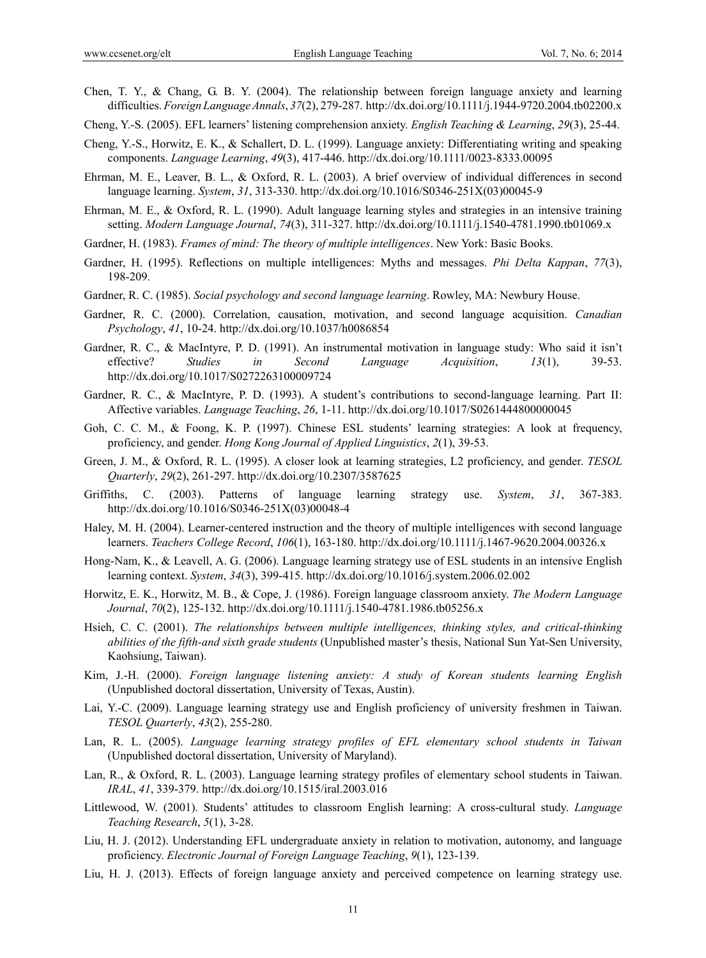- Chen, T. Y., & Chang, G. B. Y. (2004). The relationship between foreign language anxiety and learning difficulties. *Foreign Language Annals*, *37*(2), 279-287. http://dx.doi.org/10.1111/j.1944-9720.2004.tb02200.x
- Cheng, Y.-S. (2005). EFL learners' listening comprehension anxiety. *English Teaching & Learning*, *29*(3), 25-44.
- Cheng, Y.-S., Horwitz, E. K., & Schallert, D. L. (1999). Language anxiety: Differentiating writing and speaking components. *Language Learning*, *49*(3), 417-446. http://dx.doi.org/10.1111/0023-8333.00095
- Ehrman, M. E., Leaver, B. L., & Oxford, R. L. (2003). A brief overview of individual differences in second language learning. *System*, *31*, 313-330. http://dx.doi.org/10.1016/S0346-251X(03)00045-9
- Ehrman, M. E., & Oxford, R. L. (1990). Adult language learning styles and strategies in an intensive training setting. *Modern Language Journal*, *74*(3), 311-327. http://dx.doi.org/10.1111/j.1540-4781.1990.tb01069.x
- Gardner, H. (1983). *Frames of mind: The theory of multiple intelligences*. New York: Basic Books.
- Gardner, H. (1995). Reflections on multiple intelligences: Myths and messages. *Phi Delta Kappan*, *77*(3), 198-209.
- Gardner, R. C. (1985). *Social psychology and second language learning*. Rowley, MA: Newbury House.
- Gardner, R. C. (2000). Correlation, causation, motivation, and second language acquisition. *Canadian Psychology*, *41*, 10-24. http://dx.doi.org/10.1037/h0086854
- Gardner, R. C., & MacIntyre, P. D. (1991). An instrumental motivation in language study: Who said it isn't effective? *Studies in Second Language Acquisition*, *13*(1), 39-53. http://dx.doi.org/10.1017/S0272263100009724
- Gardner, R. C., & MacIntyre, P. D. (1993). A student's contributions to second-language learning. Part II: Affective variables. *Language Teaching*, *26*, 1-11. http://dx.doi.org/10.1017/S0261444800000045
- Goh, C. C. M., & Foong, K. P. (1997). Chinese ESL students' learning strategies: A look at frequency, proficiency, and gender. *Hong Kong Journal of Applied Linguistics*, *2*(1), 39-53.
- Green, J. M., & Oxford, R. L. (1995). A closer look at learning strategies, L2 proficiency, and gender. *TESOL Quarterly*, *29*(2), 261-297. http://dx.doi.org/10.2307/3587625
- Griffiths, C. (2003). Patterns of language learning strategy use. *System*, *31*, 367-383. http://dx.doi.org/10.1016/S0346-251X(03)00048-4
- Haley, M. H. (2004). Learner-centered instruction and the theory of multiple intelligences with second language learners. *Teachers College Record*, *106*(1), 163-180. http://dx.doi.org/10.1111/j.1467-9620.2004.00326.x
- Hong-Nam, K., & Leavell, A. G. (2006). Language learning strategy use of ESL students in an intensive English learning context. *System*, *34*(3), 399-415. http://dx.doi.org/10.1016/j.system.2006.02.002
- Horwitz, E. K., Horwitz, M. B., & Cope, J. (1986). Foreign language classroom anxiety. *The Modern Language Journal*, *70*(2), 125-132. http://dx.doi.org/10.1111/j.1540-4781.1986.tb05256.x
- Hsieh, C. C. (2001). *The relationships between multiple intelligences, thinking styles, and critical-thinking abilities of the fifth-and sixth grade students* (Unpublished master's thesis, National Sun Yat-Sen University, Kaohsiung, Taiwan).
- Kim, J.-H. (2000). *Foreign language listening anxiety: A study of Korean students learning English* (Unpublished doctoral dissertation, University of Texas, Austin).
- Lai, Y.-C. (2009). Language learning strategy use and English proficiency of university freshmen in Taiwan. *TESOL Quarterly*, *43*(2), 255-280.
- Lan, R. L. (2005). *Language learning strategy profiles of EFL elementary school students in Taiwan* (Unpublished doctoral dissertation, University of Maryland).
- Lan, R., & Oxford, R. L. (2003). Language learning strategy profiles of elementary school students in Taiwan. *IRAL*, *41*, 339-379. http://dx.doi.org/10.1515/iral.2003.016
- Littlewood, W. (2001). Students' attitudes to classroom English learning: A cross-cultural study. *Language Teaching Research*, *5*(1), 3-28.
- Liu, H. J. (2012). Understanding EFL undergraduate anxiety in relation to motivation, autonomy, and language proficiency. *Electronic Journal of Foreign Language Teaching*, *9*(1), 123-139.
- Liu, H. J. (2013). Effects of foreign language anxiety and perceived competence on learning strategy use.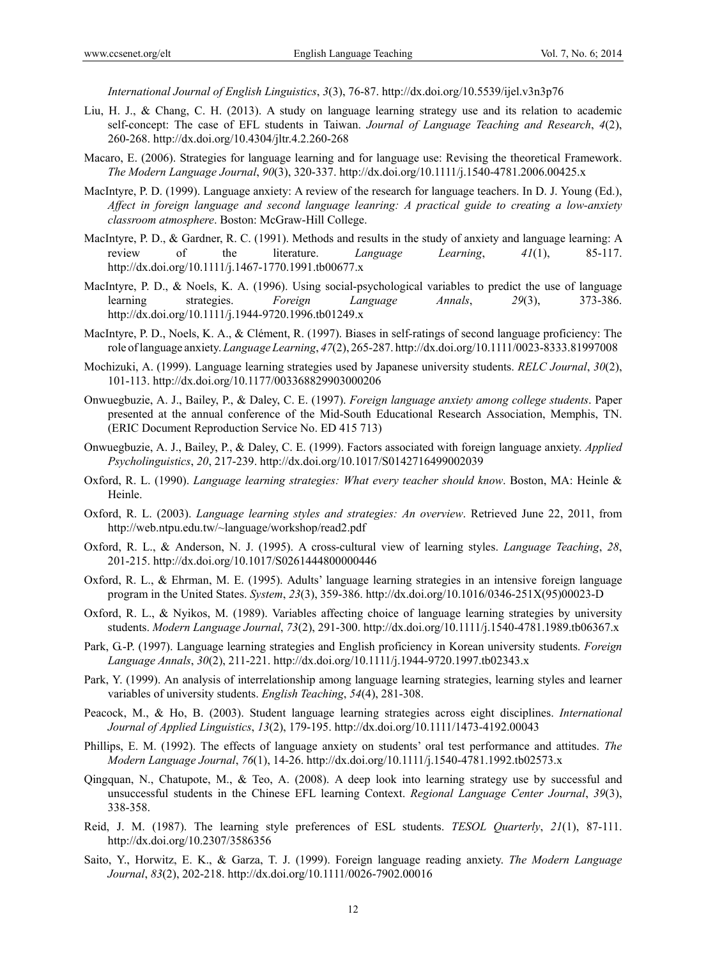*International Journal of English Linguistics*, *3*(3), 76-87. http://dx.doi.org/10.5539/ijel.v3n3p76

- Liu, H. J., & Chang, C. H. (2013). A study on language learning strategy use and its relation to academic self-concept: The case of EFL students in Taiwan. *Journal of Language Teaching and Research*, *4*(2), 260-268. http://dx.doi.org/10.4304/jltr.4.2.260-268
- Macaro, E. (2006). Strategies for language learning and for language use: Revising the theoretical Framework. *The Modern Language Journal*, *90*(3), 320-337. http://dx.doi.org/10.1111/j.1540-4781.2006.00425.x
- MacIntyre, P. D. (1999). Language anxiety: A review of the research for language teachers. In D. J. Young (Ed.), *Affect in foreign language and second language leanring: A practical guide to creating a low-anxiety classroom atmosphere*. Boston: McGraw-Hill College.
- MacIntyre, P. D., & Gardner, R. C. (1991). Methods and results in the study of anxiety and language learning: A review of the literature. *Language Learning*, *41*(1), 85-117. http://dx.doi.org/10.1111/j.1467-1770.1991.tb00677.x
- MacIntyre, P. D., & Noels, K. A. (1996). Using social-psychological variables to predict the use of language learning strategies. *Foreign Language Annals*, *29*(3), 373-386. http://dx.doi.org/10.1111/j.1944-9720.1996.tb01249.x
- MacIntyre, P. D., Noels, K. A., & Clément, R. (1997). Biases in self-ratings of second language proficiency: The role of language anxiety. *Language Learning*, *47*(2), 265-287. http://dx.doi.org/10.1111/0023-8333.81997008
- Mochizuki, A. (1999). Language learning strategies used by Japanese university students. *RELC Journal*, *30*(2), 101-113. http://dx.doi.org/10.1177/003368829903000206
- Onwuegbuzie, A. J., Bailey, P., & Daley, C. E. (1997). *Foreign language anxiety among college students*. Paper presented at the annual conference of the Mid-South Educational Research Association, Memphis, TN. (ERIC Document Reproduction Service No. ED 415 713)
- Onwuegbuzie, A. J., Bailey, P., & Daley, C. E. (1999). Factors associated with foreign language anxiety. *Applied Psycholinguistics*, *20*, 217-239. http://dx.doi.org/10.1017/S0142716499002039
- Oxford, R. L. (1990). *Language learning strategies: What every teacher should know*. Boston, MA: Heinle & Heinle.
- Oxford, R. L. (2003). *Language learning styles and strategies: An overview*. Retrieved June 22, 2011, from http://web.ntpu.edu.tw/~language/workshop/read2.pdf
- Oxford, R. L., & Anderson, N. J. (1995). A cross-cultural view of learning styles. *Language Teaching*, *28*, 201-215. http://dx.doi.org/10.1017/S0261444800000446
- Oxford, R. L., & Ehrman, M. E. (1995). Adults' language learning strategies in an intensive foreign language program in the United States. *System*, *23*(3), 359-386. http://dx.doi.org/10.1016/0346-251X(95)00023-D
- Oxford, R. L., & Nyikos, M. (1989). Variables affecting choice of language learning strategies by university students. *Modern Language Journal*, *73*(2), 291-300. http://dx.doi.org/10.1111/j.1540-4781.1989.tb06367.x
- Park, G.-P. (1997). Language learning strategies and English proficiency in Korean university students. *Foreign Language Annals*, *30*(2), 211-221. http://dx.doi.org/10.1111/j.1944-9720.1997.tb02343.x
- Park, Y. (1999). An analysis of interrelationship among language learning strategies, learning styles and learner variables of university students. *English Teaching*, *54*(4), 281-308.
- Peacock, M., & Ho, B. (2003). Student language learning strategies across eight disciplines. *International Journal of Applied Linguistics*, *13*(2), 179-195. http://dx.doi.org/10.1111/1473-4192.00043
- Phillips, E. M. (1992). The effects of language anxiety on students' oral test performance and attitudes. *The Modern Language Journal*, *76*(1), 14-26. http://dx.doi.org/10.1111/j.1540-4781.1992.tb02573.x
- Qingquan, N., Chatupote, M., & Teo, A. (2008). A deep look into learning strategy use by successful and unsuccessful students in the Chinese EFL learning Context. *Regional Language Center Journal*, *39*(3), 338-358.
- Reid, J. M. (1987). The learning style preferences of ESL students. *TESOL Quarterly*, *21*(1), 87-111. http://dx.doi.org/10.2307/3586356
- Saito, Y., Horwitz, E. K., & Garza, T. J. (1999). Foreign language reading anxiety. *The Modern Language Journal*, *83*(2), 202-218. http://dx.doi.org/10.1111/0026-7902.00016